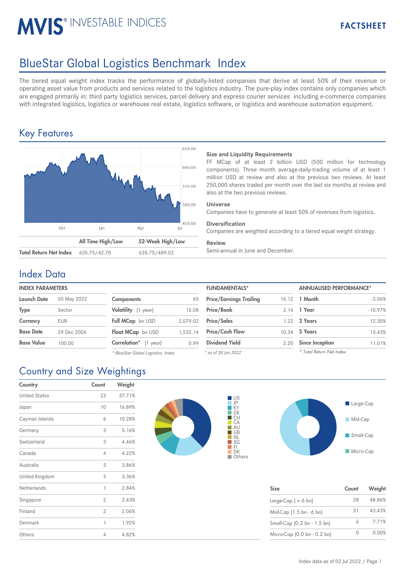# **MVIS® INVESTABLE INDICES**

# BlueStar Global Logistics Benchmark Index

The tiered equal weight index tracks the performance of globally-listed companies that derive at least 50% of their revenue or operating asset value from products and services related to the logistics industry. The pure-play index contains only companies which are engaged primarily in: third party logistics services, parcel delivery and express courier services including e-commerce companies with integrated logistics, logistics or warehouse real estate, logistics software, or logistics and warehouse automation equipment.

## Key Features



## **Size and Liquidity Requirements**

FF MCap of at least 2 billion USD (500 million for technology components). Three month average-daily-trading volume of at least 1 million USD at review and also at the previous two reviews. At least 250,000 shares traded per month over the last six months at review and also at the two previous reviews.

## **Universe**

Companies have to generate at least 50% of revenues from logistics.

## **Diversification**

Companies are weighted according to a tiered equal weight strategy.

### **Review**

## Index Data

| <b>INDEX PARAMETERS</b> |                            | <b>FUNDAMENTALS*</b> |                                | <b>ANNUALISED PERFORMANCE*</b> |                        |                                                                      |
|-------------------------|----------------------------|----------------------|--------------------------------|--------------------------------|------------------------|----------------------------------------------------------------------|
| 05 May 2022             | <b>Components</b>          | 65                   | <b>Price/Earnings Trailing</b> |                                |                        |                                                                      |
| Sector                  | Volatility (1 year)        | 15.08                | <b>Price/Book</b>              |                                |                        |                                                                      |
| <b>EUR</b>              | Full MCap bn USD           | 2.079.02             | <b>Price/Sales</b>             |                                |                        |                                                                      |
| 29 Dec 2006             | Float MCap bn USD          | 1.532.14             | <b>Price/Cash Flow</b>         |                                |                        |                                                                      |
| 100.00                  | Correlation*<br>$(1$ year) | 0.99                 | <b>Dividend Yield</b>          | 2.20                           | <b>Since Inception</b> |                                                                      |
|                         |                            |                      |                                |                                |                        | 16.12 <b>1 Month</b><br>2.14 1 Year<br>1.22 3 Years<br>10.34 5 Years |

*\* BlueStar Global Logistics Index*

| <b>FUNDAMENTALS*</b>           |       | <b>ANNUALISED PERFORMANCE*</b> |           |  |
|--------------------------------|-------|--------------------------------|-----------|--|
| <b>Price/Earnings Trailing</b> | 16.12 | 1 Month                        | $-3.06%$  |  |
| Price/Book                     | 2.14  | 1 Year                         | $-10.97%$ |  |
| <b>Price/Sales</b>             | 1.22  | 3 Years                        | 12.30%    |  |
| <b>Price/Cash Flow</b>         | 10.34 | 5 Years                        | 13.43%    |  |
| <b>Dividend Yield</b>          | 2.20  | <b>Since Inception</b>         | 11.01%    |  |
| * as of 30 Jun 2022            |       | * Total Return Net Index       |           |  |

## Country and Size Weightings

| Country              | Count | Weight |
|----------------------|-------|--------|
| <b>United States</b> | 23    | 37.71% |
| Japan                | 10    | 16.89% |
| Cayman Islands       | 6     | 10.28% |
| Germany              | 3     | 5.16%  |
| Switzerland          | 3     | 4.46%  |
| Canada               | 4     | 4.22%  |
| Australia            | 3     | 3.86%  |
| United Kingdom       | 3     | 3.36%  |
| Netherlands          | 1     | 2.84%  |
| Singapore            | 2     | 2.43%  |
| Finland              | 2     | 2.06%  |
| Denmark              | 1     | 1.92%  |
| Others               | 4     | 4.82%  |





| <b>Size</b>                 | Count | Weight |
|-----------------------------|-------|--------|
| Large-Cap ( $> 6$ bn)       | 28    | 48.86% |
| Mid-Cap (1.5 bn - 6 bn)     | 31    | 43.43% |
| Small-Cap (0.2 bn - 1.5 bn) |       | 7.71%  |
| Micro-Cap (0.0 bn - 0.2 bn) |       | 0.00%  |